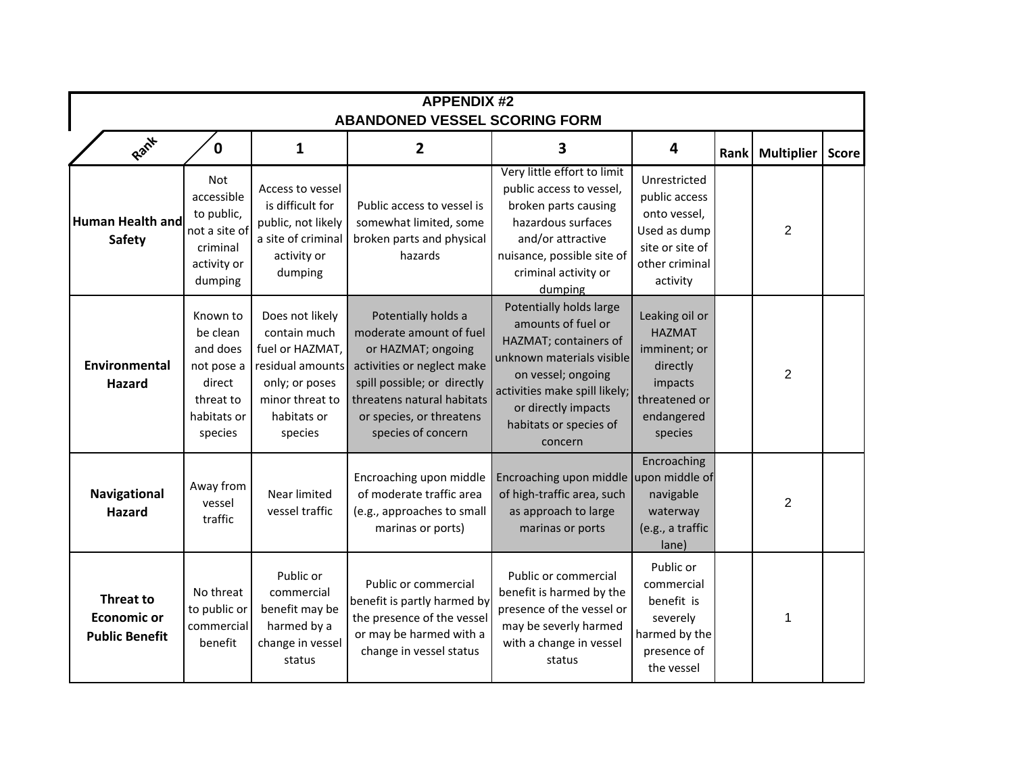| <b>APPENDIX #2</b><br><b>ABANDONED VESSEL SCORING FORM</b>      |                                                                                                 |                                                                                                                                       |                                                                                                                                                                                                                   |                                                                                                                                                                                                                        |                                                                                                                  |      |                   |              |  |  |  |  |
|-----------------------------------------------------------------|-------------------------------------------------------------------------------------------------|---------------------------------------------------------------------------------------------------------------------------------------|-------------------------------------------------------------------------------------------------------------------------------------------------------------------------------------------------------------------|------------------------------------------------------------------------------------------------------------------------------------------------------------------------------------------------------------------------|------------------------------------------------------------------------------------------------------------------|------|-------------------|--------------|--|--|--|--|
| Rant                                                            | 0                                                                                               | 1                                                                                                                                     | 2                                                                                                                                                                                                                 | 3                                                                                                                                                                                                                      | 4                                                                                                                | Rank | <b>Multiplier</b> | <b>Score</b> |  |  |  |  |
| Human Health and<br><b>Safety</b>                               | <b>Not</b><br>accessible<br>to public,<br>not a site of<br>criminal<br>activity or<br>dumping   | Access to vessel<br>is difficult for<br>public, not likely<br>a site of criminal<br>activity or<br>dumping                            | Public access to vessel is<br>somewhat limited, some<br>broken parts and physical<br>hazards                                                                                                                      | Very little effort to limit<br>public access to vessel,<br>broken parts causing<br>hazardous surfaces<br>and/or attractive<br>nuisance, possible site of<br>criminal activity or<br>dumping                            | Unrestricted<br>public access<br>onto vessel,<br>Used as dump<br>site or site of<br>other criminal<br>activity   |      | $\overline{2}$    |              |  |  |  |  |
| <b>Environmental</b><br><b>Hazard</b>                           | Known to<br>be clean<br>and does<br>not pose a<br>direct<br>threat to<br>habitats or<br>species | Does not likely<br>contain much<br>fuel or HAZMAT,<br>residual amounts<br>only; or poses<br>minor threat to<br>habitats or<br>species | Potentially holds a<br>moderate amount of fuel<br>or HAZMAT; ongoing<br>activities or neglect make<br>spill possible; or directly<br>threatens natural habitats<br>or species, or threatens<br>species of concern | Potentially holds large<br>amounts of fuel or<br>HAZMAT; containers of<br>unknown materials visible<br>on vessel; ongoing<br>activities make spill likely;<br>or directly impacts<br>habitats or species of<br>concern | Leaking oil or<br><b>HAZMAT</b><br>imminent; or<br>directly<br>impacts<br>threatened or<br>endangered<br>species |      | $\overline{2}$    |              |  |  |  |  |
| Navigational<br><b>Hazard</b>                                   | Away from<br>vessel<br>traffic                                                                  | Near limited<br>vessel traffic                                                                                                        | Encroaching upon middle<br>of moderate traffic area<br>(e.g., approaches to small<br>marinas or ports)                                                                                                            | Encroaching upon middle upon middle of<br>of high-traffic area, such<br>as approach to large<br>marinas or ports                                                                                                       | Encroaching<br>navigable<br>waterway<br>(e.g., a traffic<br>lane)                                                |      | $\overline{2}$    |              |  |  |  |  |
| <b>Threat to</b><br><b>Economic or</b><br><b>Public Benefit</b> | No threat<br>to public or<br>commercial<br>benefit                                              | Public or<br>commercial<br>benefit may be<br>harmed by a<br>change in vessel<br>status                                                | Public or commercial<br>benefit is partly harmed by<br>the presence of the vessel<br>or may be harmed with a<br>change in vessel status                                                                           | Public or commercial<br>benefit is harmed by the<br>presence of the vessel or<br>may be severly harmed<br>with a change in vessel<br>status                                                                            | Public or<br>commercial<br>benefit is<br>severely<br>harmed by the<br>presence of<br>the vessel                  |      | 1                 |              |  |  |  |  |